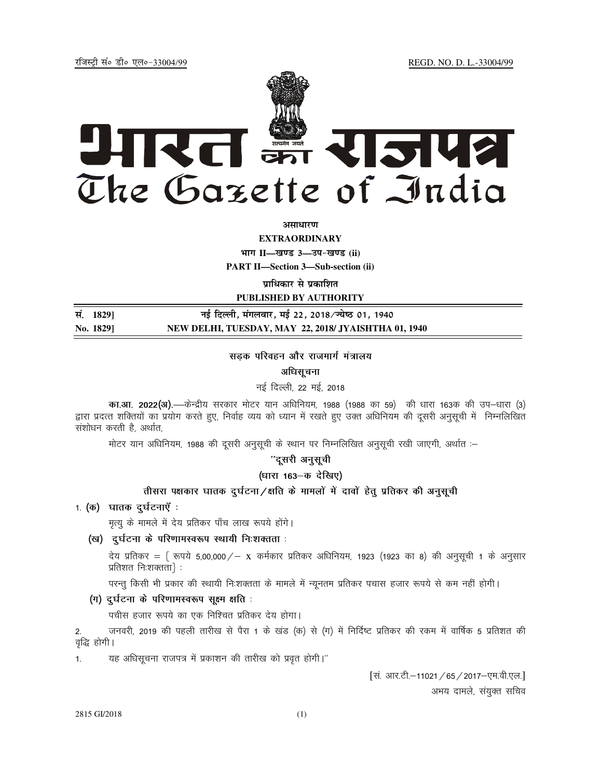REGD. NO. D. L.-33004/99

रजिस्टी सं० डी० एल०-33004/99



अमाधारण

**EXTRAORDINARY** 

भाग II-खण्ड 3-उप-खण्ड (ii)

**PART II—Section 3—Sub-section (ii)** 

प्राधिकार से प्रकाशित

PUBLISHED BY AUTHORITY

सं. 1829] नई दिल्ली, मंगलवार, मई 22, 2018/ज्येष्ठ 01, 1940 NEW DELHI, TUESDAY, MAY 22, 2018/ JYAISHTHA 01, 1940 No. 18291

#### सड़क परिवहन और राजमार्ग मंत्रालय

## अधिसचना

नई दिल्ली, 22 मई, 2018

का.आ. 2022(अ).—केन्द्रीय सरकार मोटर यान अधिनियम, 1988 (1988 का 59) की धारा 163क की उप-धारा (3) द्वारा प्रदत्त शक्तियों का प्रयोग करते हुए, निर्वाह व्यय को ध्यान में रखते हुए उक्त अधिनियम की दूसरी अनुसूची में निम्नलिखित संशोधन करती है, अर्थात,

मोटर यान अधिनियम, 1988 की दूसरी अनुसूची के स्थान पर निम्नलिखित अनुसूची रखी जाएगी, अर्थात :-

# ''दूसरी अनुसूची

(धारा 163-क देखिए)

## तीसरा पक्षकार घातक दुर्घटना/क्षति के मामलों में दावों हेतु प्रतिकर की अनुसूची

1. (क) घातक दुर्घटनाएँ :

मृत्यू के मामले में देय प्रतिकर पाँच लाख रूपये होंगे।

(ख) दुर्घटना के परिणामस्वरूप स्थायी निःशक्तता :

देय प्रतिकर = { रूपये 5,00,000 / - x कर्मकार प्रतिकर अधिनियम, 1923 (1923 का 8) की अनुसूची 1 के अनुसार प्रतिशत निःशक्तता}:

परन्तु किसी भी प्रकार की स्थायी निःशक्तता के मामले में न्यूनतम प्रतिकर पचास हजार रूपये से कम नहीं होगी।

(ग) दुर्घटना के परिणामस्वरूप सूक्ष्म क्षति :

पचीस हजार रूपये का एक निश्चित प्रतिकर देय होगा।

जनवरी, 2019 की पहली तारीख से पैरा 1 के खंड (क) से (ग) में निर्दिष्ट प्रतिकर की रकम में वार्षिक 5 प्रतिशत की  $\mathfrak{D}$ वृद्धि होगी।

यह अधिसूचना राजपत्र में प्रकाशन की तारीख को प्रवृत होगी।"  $1.$ 

[सं. आर.टी.-11021 / 65 / 2017-एम.वी.एल.]

अभय दामले, संयुक्त सचिव

2815 GI/2018